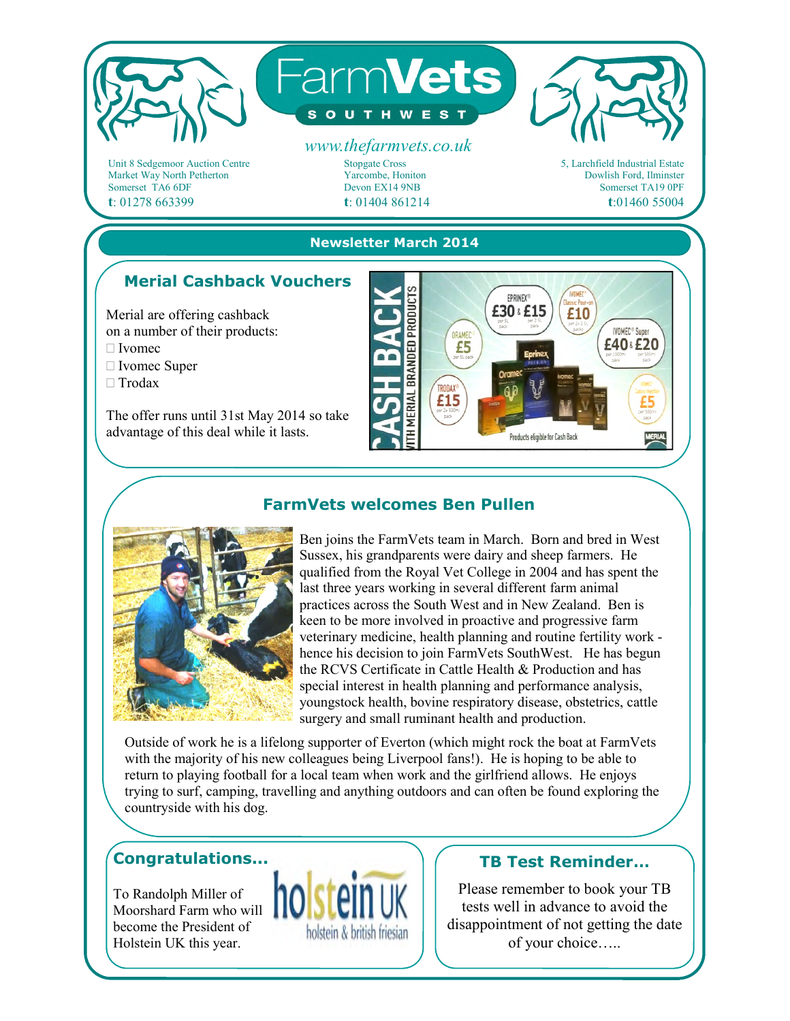

Unit 8 Sedgemoor Auction Centre Market Way North Petherton Somerset TA6 6DF **t**: 01278 663399

#### Stopgate Cross Yarcombe, Honiton Devon EX14 9NB

**t**: 01404 861214

5, Larchfield Industrial Estate Dowlish Ford, Ilminster Somerset TA19 0PF **t**:01460 55004

> **IVOMEC®** Super £40.£20

> > £5

#### **Newsletter March 2014**

# **Merial Cashback Vouchers**

Merial are offering cashback on a number of their products: Ivomec Ivomec Super Trodax

The offer runs until 31st May 2014 so take advantage of this deal while it lasts.

# **FarmVets welcomes Ben Pullen**

BRANDED

**MERIAL** 

£5

TRODAX

£15



Ben joins the FarmVets team in March. Born and bred in West Sussex, his grandparents were dairy and sheep farmers. He qualified from the Royal Vet College in 2004 and has spent the last three years working in several different farm animal practices across the South West and in New Zealand. Ben is keen to be more involved in proactive and progressive farm veterinary medicine, health planning and routine fertility work hence his decision to join FarmVets SouthWest. He has begun the RCVS Certificate in Cattle Health & Production and has special interest in health planning and performance analysis, youngstock health, bovine respiratory disease, obstetrics, cattle surgery and small ruminant health and production.

**EPRINEX®** £30 £15

Products eligible for Cash Back

£10

Outside of work he is a lifelong supporter of Everton (which might rock the boat at FarmVets with the majority of his new colleagues being Liverpool fans!). He is hoping to be able to return to playing football for a local team when work and the girlfriend allows. He enjoys trying to surf, camping, travelling and anything outdoors and can often be found exploring the countryside with his dog.

## **Congratulations...**

To Randolph Miller of Moorshard Farm who will become the President of Holstein UK this year.



## **TB Test Reminder…**

Please remember to book your TB tests well in advance to avoid the disappointment of not getting the date of your choice…..